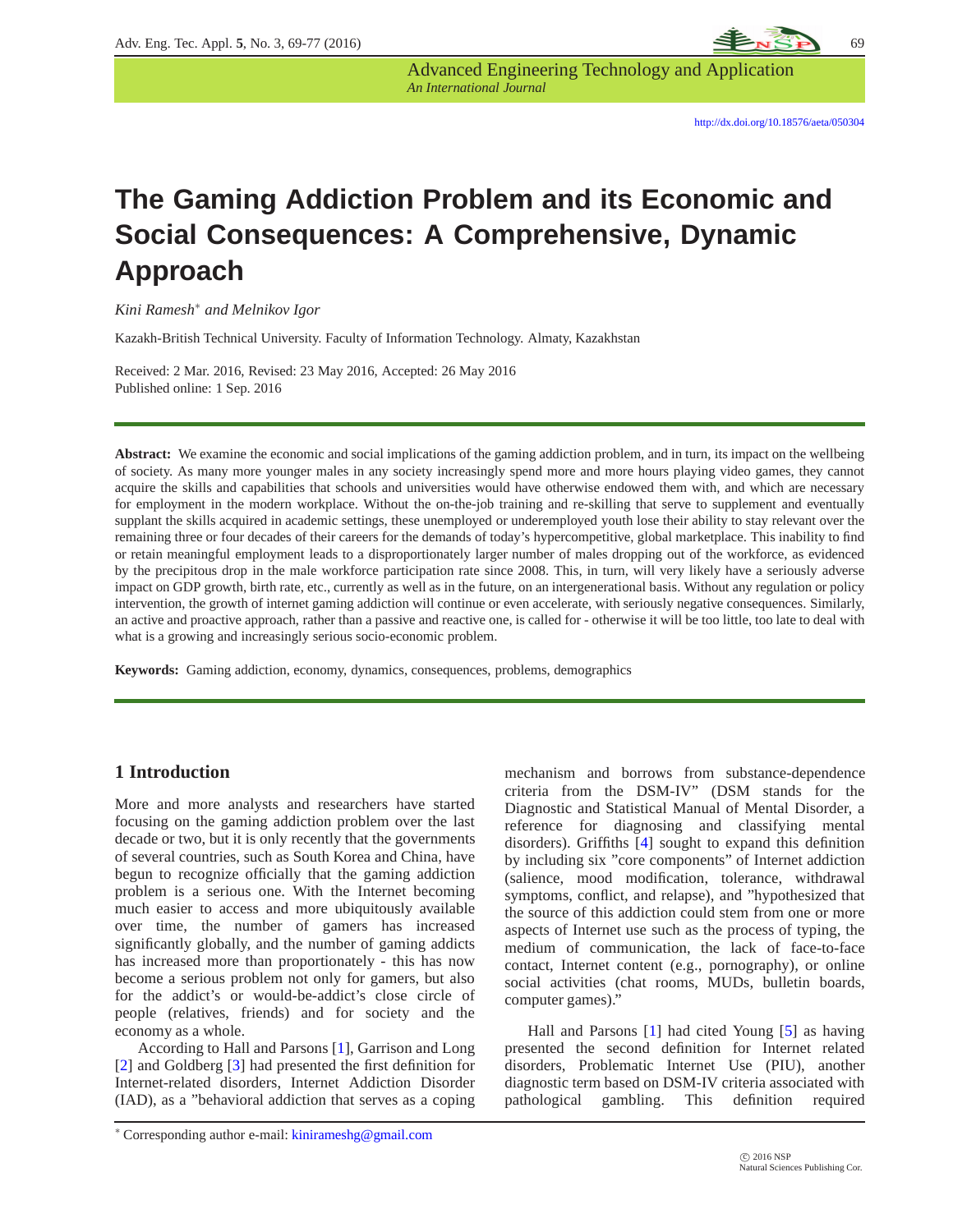# **The Gaming Addiction Problem and its Economic and Social Consequences: A Comprehensive, Dynamic Approach**

*An International Journal*

Advanced Engineering Technology and Application

*Kini Ramesh*<sup>∗</sup> *and Melnikov Igor*

Kazakh-British Technical University. Faculty of Information Technology. Almaty, Kazakhstan

Received: 2 Mar. 2016, Revised: 23 May 2016, Accepted: 26 May 2016 Published online: 1 Sep. 2016

**Abstract:** We examine the economic and social implications of the gaming addiction problem, and in turn, its impact on the wellbeing of society. As many more younger males in any society increasingly spend more and more hours playing video games, they cannot acquire the skills and capabilities that schools and universities would have otherwise endowed them with, and which are necessary for employment in the modern workplace. Without the on-the-job training and re-skilling that serve to supplement and eventually supplant the skills acquired in academic settings, these unemployed or underemployed youth lose their ability to stay relevant over the remaining three or four decades of their careers for the demands of today's hypercompetitive, global marketplace. This inability to find or retain meaningful employment leads to a disproportionately larger number of males dropping out of the workforce, as evidenced by the precipitous drop in the male workforce participation rate since 2008. This, in turn, will very likely have a seriously adverse impact on GDP growth, birth rate, etc., currently as well as in the future, on an intergenerational basis. Without any regulation or policy intervention, the growth of internet gaming addiction will continue or even accelerate, with seriously negative consequences. Similarly, an active and proactive approach, rather than a passive and reactive one, is called for - otherwise it will be too little, too late to deal with what is a growing and increasingly serious socio-economic problem.

**Keywords:** Gaming addiction, economy, dynamics, consequences, problems, demographics

#### **1 Introduction**

More and more analysts and researchers have started focusing on the gaming addiction problem over the last decade or two, but it is only recently that the governments of several countries, such as South Korea and China, have begun to recognize officially that the gaming addiction problem is a serious one. With the Internet becoming much easier to access and more ubiquitously available over time, the number of gamers has increased significantly globally, and the number of gaming addicts has increased more than proportionately - this has now become a serious problem not only for gamers, but also for the addict's or would-be-addict's close circle of people (relatives, friends) and for society and the economy as a whole.

According to Hall and Parsons [\[1\]](#page-8-0), Garrison and Long [\[2\]](#page-8-1) and Goldberg [\[3\]](#page-8-2) had presented the first definition for Internet-related disorders, Internet Addiction Disorder (IAD), as a "behavioral addiction that serves as a coping mechanism and borrows from substance-dependence criteria from the DSM-IV" (DSM stands for the Diagnostic and Statistical Manual of Mental Disorder, a reference for diagnosing and classifying mental disorders). Griffiths [\[4\]](#page-8-3) sought to expand this definition by including six "core components" of Internet addiction (salience, mood modification, tolerance, withdrawal symptoms, conflict, and relapse), and "hypothesized that the source of this addiction could stem from one or more aspects of Internet use such as the process of typing, the medium of communication, the lack of face-to-face contact, Internet content (e.g., pornography), or online social activities (chat rooms, MUDs, bulletin boards, computer games)."

Hall and Parsons [\[1\]](#page-8-0) had cited Young [\[5\]](#page-8-4) as having presented the second definition for Internet related disorders, Problematic Internet Use (PIU), another diagnostic term based on DSM-IV criteria associated with pathological gambling. This definition required

<sup>∗</sup> Corresponding author e-mail: kinirameshg@gmail.com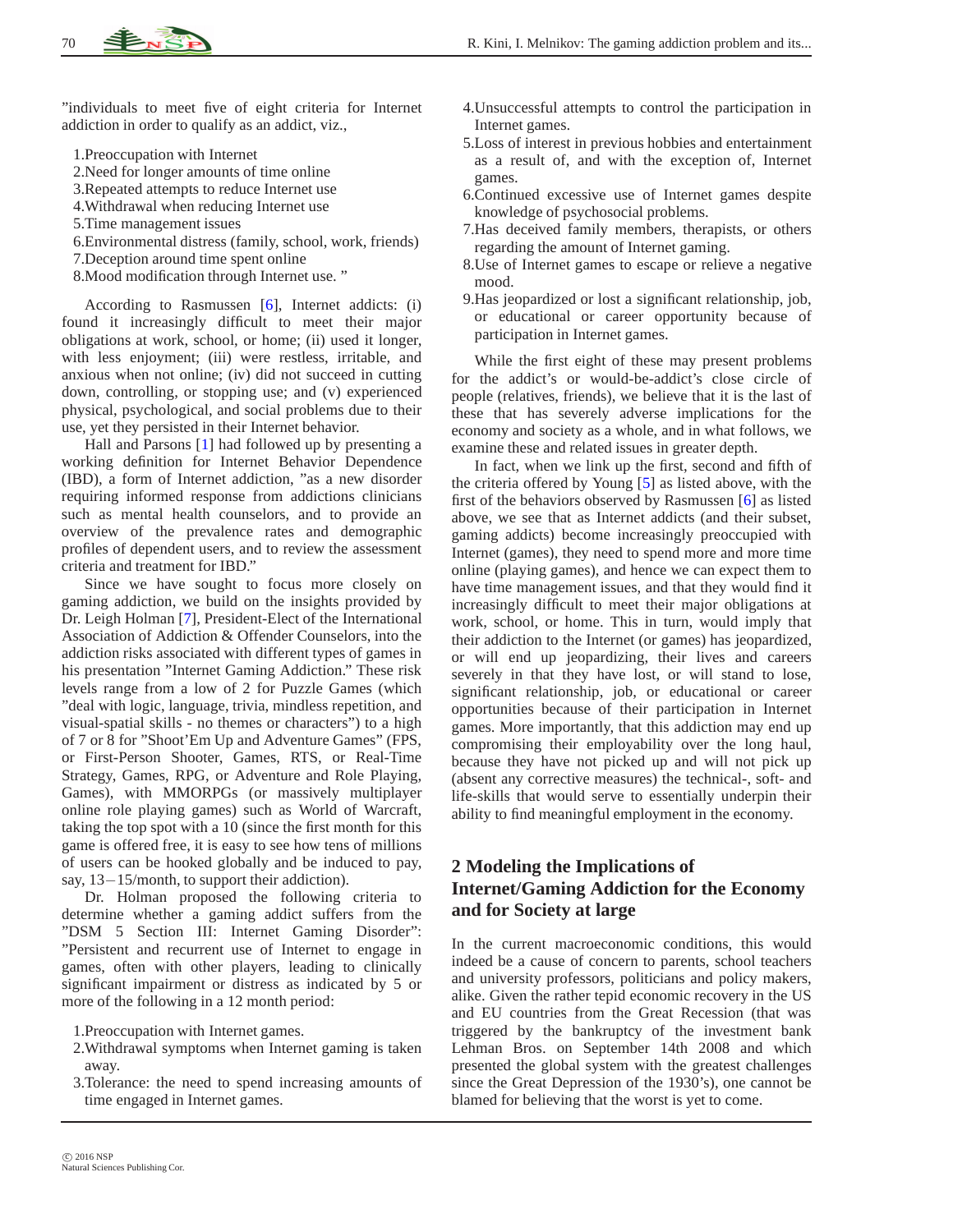"individuals to meet five of eight criteria for Internet addiction in order to qualify as an addict, viz.,

- 1.Preoccupation with Internet
- 2.Need for longer amounts of time online
- 3.Repeated attempts to reduce Internet use
- 4.Withdrawal when reducing Internet use
- 5.Time management issues
- 6.Environmental distress (family, school, work, friends)
- 7.Deception around time spent online
- 8.Mood modification through Internet use. "

According to Rasmussen [\[6\]](#page-8-5), Internet addicts: (i) found it increasingly difficult to meet their major obligations at work, school, or home; (ii) used it longer, with less enjoyment; (iii) were restless, irritable, and anxious when not online; (iv) did not succeed in cutting down, controlling, or stopping use; and (v) experienced physical, psychological, and social problems due to their use, yet they persisted in their Internet behavior.

Hall and Parsons [\[1\]](#page-8-0) had followed up by presenting a working definition for Internet Behavior Dependence (IBD), a form of Internet addiction, "as a new disorder requiring informed response from addictions clinicians such as mental health counselors, and to provide an overview of the prevalence rates and demographic profiles of dependent users, and to review the assessment criteria and treatment for IBD."

Since we have sought to focus more closely on gaming addiction, we build on the insights provided by Dr. Leigh Holman [\[7\]](#page-8-6), President-Elect of the International Association of Addiction & Offender Counselors, into the addiction risks associated with different types of games in his presentation "Internet Gaming Addiction." These risk levels range from a low of 2 for Puzzle Games (which "deal with logic, language, trivia, mindless repetition, and visual-spatial skills - no themes or characters") to a high of 7 or 8 for "Shoot'Em Up and Adventure Games" (FPS, or First-Person Shooter, Games, RTS, or Real-Time Strategy, Games, RPG, or Adventure and Role Playing, Games), with MMORPGs (or massively multiplayer online role playing games) such as World of Warcraft, taking the top spot with a 10 (since the first month for this game is offered free, it is easy to see how tens of millions of users can be hooked globally and be induced to pay, say, 13−15/month, to support their addiction).

Dr. Holman proposed the following criteria to determine whether a gaming addict suffers from the "DSM 5 Section III: Internet Gaming Disorder": "Persistent and recurrent use of Internet to engage in games, often with other players, leading to clinically significant impairment or distress as indicated by 5 or more of the following in a 12 month period:

1.Preoccupation with Internet games.

- 2.Withdrawal symptoms when Internet gaming is taken away.
- 3.Tolerance: the need to spend increasing amounts of time engaged in Internet games.
- 4.Unsuccessful attempts to control the participation in Internet games.
- 5.Loss of interest in previous hobbies and entertainment as a result of, and with the exception of, Internet games.
- 6.Continued excessive use of Internet games despite knowledge of psychosocial problems.
- 7.Has deceived family members, therapists, or others regarding the amount of Internet gaming.
- 8.Use of Internet games to escape or relieve a negative mood.
- 9.Has jeopardized or lost a significant relationship, job, or educational or career opportunity because of participation in Internet games.

While the first eight of these may present problems for the addict's or would-be-addict's close circle of people (relatives, friends), we believe that it is the last of these that has severely adverse implications for the economy and society as a whole, and in what follows, we examine these and related issues in greater depth.

In fact, when we link up the first, second and fifth of the criteria offered by Young [\[5\]](#page-8-4) as listed above, with the first of the behaviors observed by Rasmussen [\[6\]](#page-8-5) as listed above, we see that as Internet addicts (and their subset, gaming addicts) become increasingly preoccupied with Internet (games), they need to spend more and more time online (playing games), and hence we can expect them to have time management issues, and that they would find it increasingly difficult to meet their major obligations at work, school, or home. This in turn, would imply that their addiction to the Internet (or games) has jeopardized, or will end up jeopardizing, their lives and careers severely in that they have lost, or will stand to lose, significant relationship, job, or educational or career opportunities because of their participation in Internet games. More importantly, that this addiction may end up compromising their employability over the long haul, because they have not picked up and will not pick up (absent any corrective measures) the technical-, soft- and life-skills that would serve to essentially underpin their ability to find meaningful employment in the economy.

# **2 Modeling the Implications of Internet/Gaming Addiction for the Economy and for Society at large**

In the current macroeconomic conditions, this would indeed be a cause of concern to parents, school teachers and university professors, politicians and policy makers, alike. Given the rather tepid economic recovery in the US and EU countries from the Great Recession (that was triggered by the bankruptcy of the investment bank Lehman Bros. on September 14th 2008 and which presented the global system with the greatest challenges since the Great Depression of the 1930's), one cannot be blamed for believing that the worst is yet to come.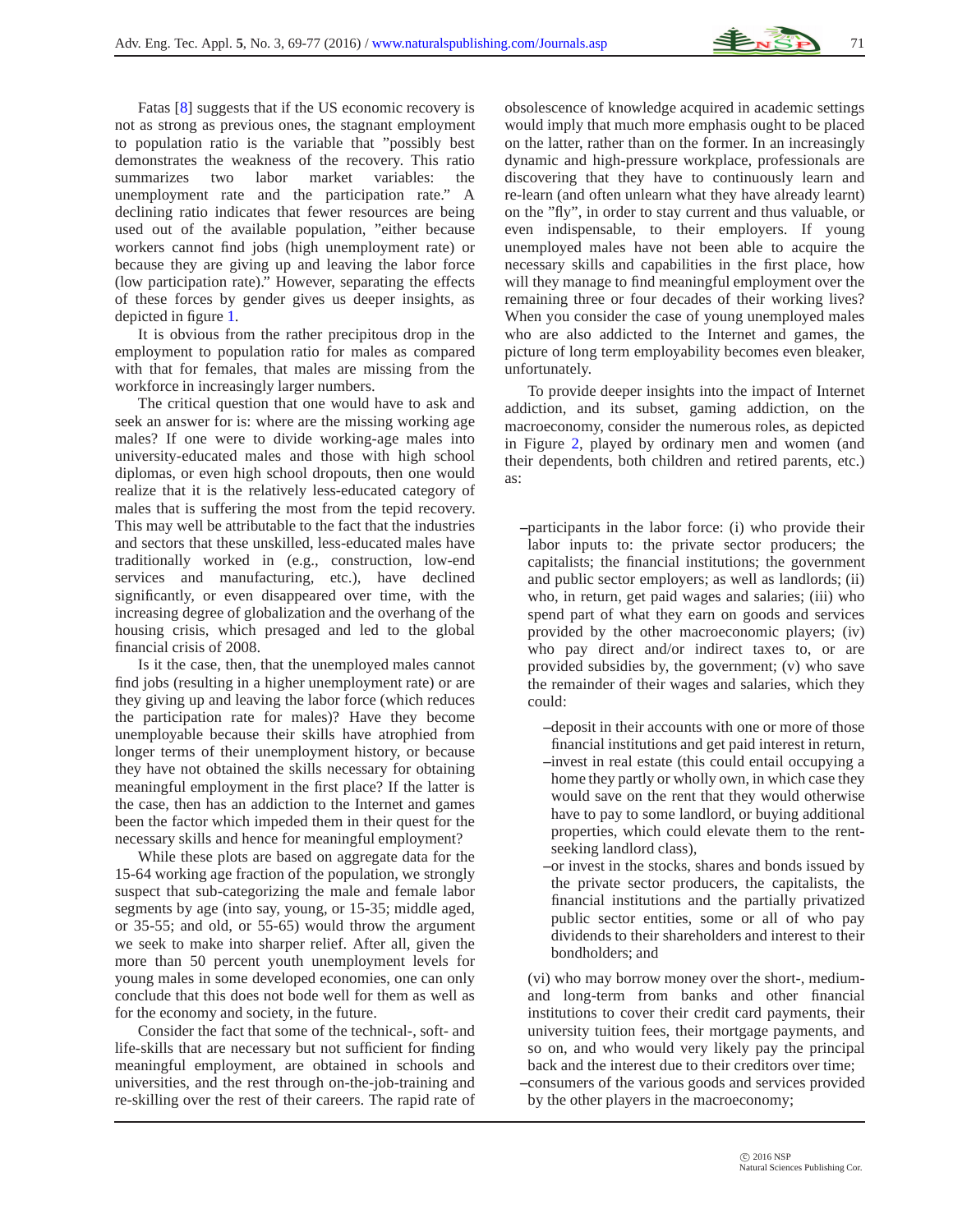Fatas [\[8\]](#page-8-7) suggests that if the US economic recovery is not as strong as previous ones, the stagnant employment to population ratio is the variable that "possibly best demonstrates the weakness of the recovery. This ratio summarizes two labor market variables: the unemployment rate and the participation rate." A declining ratio indicates that fewer resources are being used out of the available population, "either because workers cannot find jobs (high unemployment rate) or because they are giving up and leaving the labor force (low participation rate)." However, separating the effects of these forces by gender gives us deeper insights, as depicted in figure [1.](#page-3-0)

It is obvious from the rather precipitous drop in the employment to population ratio for males as compared with that for females, that males are missing from the workforce in increasingly larger numbers.

The critical question that one would have to ask and seek an answer for is: where are the missing working age males? If one were to divide working-age males into university-educated males and those with high school diplomas, or even high school dropouts, then one would realize that it is the relatively less-educated category of males that is suffering the most from the tepid recovery. This may well be attributable to the fact that the industries and sectors that these unskilled, less-educated males have traditionally worked in (e.g., construction, low-end services and manufacturing, etc.), have declined significantly, or even disappeared over time, with the increasing degree of globalization and the overhang of the housing crisis, which presaged and led to the global financial crisis of 2008.

Is it the case, then, that the unemployed males cannot find jobs (resulting in a higher unemployment rate) or are they giving up and leaving the labor force (which reduces the participation rate for males)? Have they become unemployable because their skills have atrophied from longer terms of their unemployment history, or because they have not obtained the skills necessary for obtaining meaningful employment in the first place? If the latter is the case, then has an addiction to the Internet and games been the factor which impeded them in their quest for the necessary skills and hence for meaningful employment?

While these plots are based on aggregate data for the 15-64 working age fraction of the population, we strongly suspect that sub-categorizing the male and female labor segments by age (into say, young, or 15-35; middle aged, or 35-55; and old, or 55-65) would throw the argument we seek to make into sharper relief. After all, given the more than 50 percent youth unemployment levels for young males in some developed economies, one can only conclude that this does not bode well for them as well as for the economy and society, in the future.

Consider the fact that some of the technical-, soft- and life-skills that are necessary but not sufficient for finding meaningful employment, are obtained in schools and universities, and the rest through on-the-job-training and re-skilling over the rest of their careers. The rapid rate of obsolescence of knowledge acquired in academic settings would imply that much more emphasis ought to be placed on the latter, rather than on the former. In an increasingly dynamic and high-pressure workplace, professionals are discovering that they have to continuously learn and re-learn (and often unlearn what they have already learnt) on the "fly", in order to stay current and thus valuable, or even indispensable, to their employers. If young unemployed males have not been able to acquire the necessary skills and capabilities in the first place, how will they manage to find meaningful employment over the remaining three or four decades of their working lives? When you consider the case of young unemployed males who are also addicted to the Internet and games, the picture of long term employability becomes even bleaker, unfortunately.

To provide deeper insights into the impact of Internet addiction, and its subset, gaming addiction, on the macroeconomy, consider the numerous roles, as depicted in Figure [2,](#page-4-0) played by ordinary men and women (and their dependents, both children and retired parents, etc.) as:

- **–**participants in the labor force: (i) who provide their labor inputs to: the private sector producers; the capitalists; the financial institutions; the government and public sector employers; as well as landlords; (ii) who, in return, get paid wages and salaries; (iii) who spend part of what they earn on goods and services provided by the other macroeconomic players; (iv) who pay direct and/or indirect taxes to, or are provided subsidies by, the government; (v) who save the remainder of their wages and salaries, which they could:
	- **–**deposit in their accounts with one or more of those financial institutions and get paid interest in return,
	- **–**invest in real estate (this could entail occupying a home they partly or wholly own, in which case they would save on the rent that they would otherwise have to pay to some landlord, or buying additional properties, which could elevate them to the rentseeking landlord class),
	- **–**or invest in the stocks, shares and bonds issued by the private sector producers, the capitalists, the financial institutions and the partially privatized public sector entities, some or all of who pay dividends to their shareholders and interest to their bondholders; and

(vi) who may borrow money over the short-, mediumand long-term from banks and other financial institutions to cover their credit card payments, their university tuition fees, their mortgage payments, and so on, and who would very likely pay the principal back and the interest due to their creditors over time;

**–**consumers of the various goods and services provided by the other players in the macroeconomy;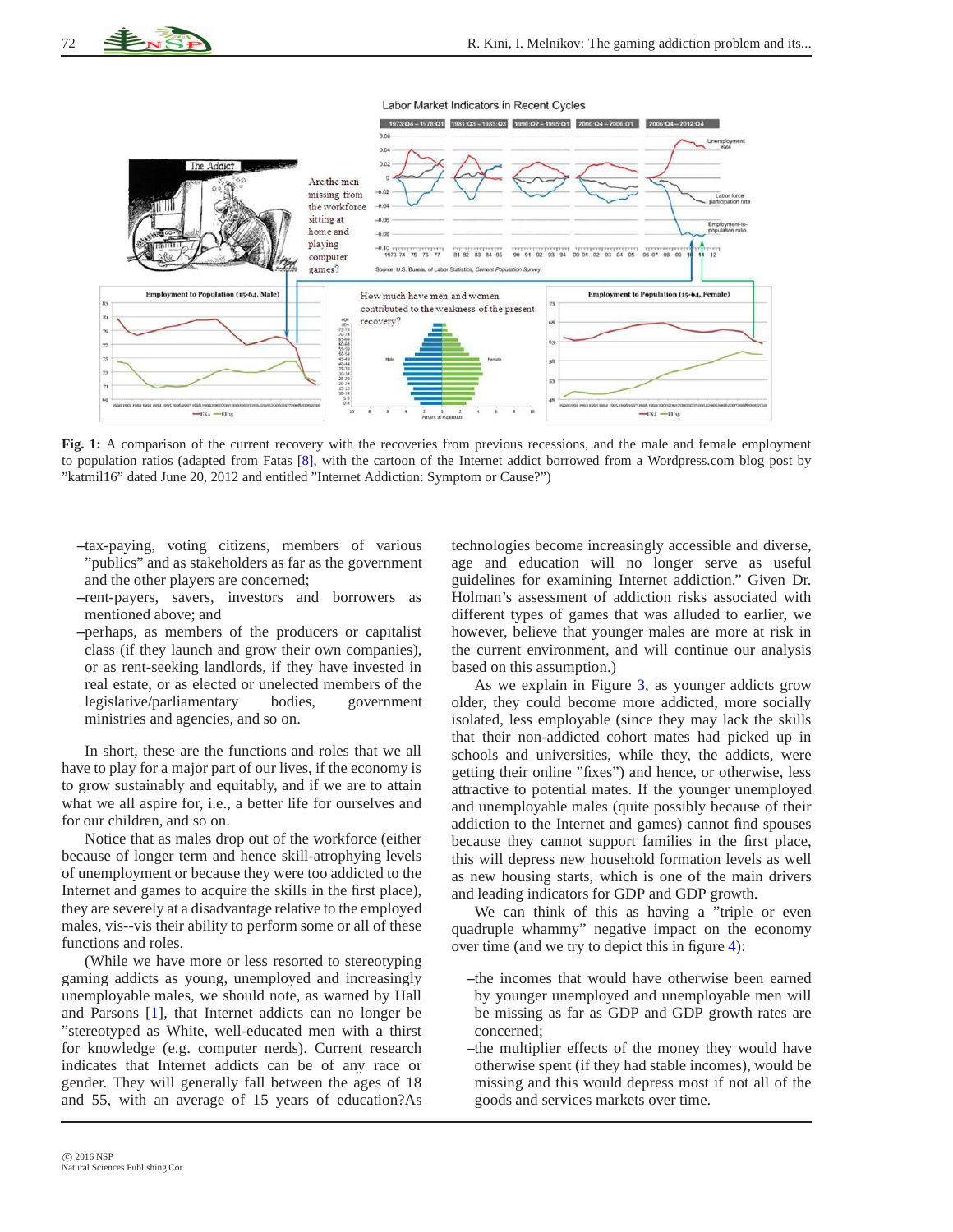

**Fig. 1:** A comparison of the current recovery with the recoveries from previous recessions, and the male and female employment to population ratios (adapted from Fatas [\[8\]](#page-8-7), with the cartoon of the Internet addict borrowed from a Wordpress.com blog post by "katmil16" dated June 20, 2012 and entitled "Internet Addiction: Symptom or Cause?")

- **–**tax-paying, voting citizens, members of various "publics" and as stakeholders as far as the government and the other players are concerned;
- **–**rent-payers, savers, investors and borrowers as mentioned above; and
- **–**perhaps, as members of the producers or capitalist class (if they launch and grow their own companies), or as rent-seeking landlords, if they have invested in real estate, or as elected or unelected members of the legislative/parliamentary bodies, government ministries and agencies, and so on.

In short, these are the functions and roles that we all have to play for a major part of our lives, if the economy is to grow sustainably and equitably, and if we are to attain what we all aspire for, i.e., a better life for ourselves and for our children, and so on.

Notice that as males drop out of the workforce (either because of longer term and hence skill-atrophying levels of unemployment or because they were too addicted to the Internet and games to acquire the skills in the first place), they are severely at a disadvantage relative to the employed males, vis--vis their ability to perform some or all of these functions and roles.

(While we have more or less resorted to stereotyping gaming addicts as young, unemployed and increasingly unemployable males, we should note, as warned by Hall and Parsons [\[1\]](#page-8-0), that Internet addicts can no longer be "stereotyped as White, well-educated men with a thirst for knowledge (e.g. computer nerds). Current research indicates that Internet addicts can be of any race or gender. They will generally fall between the ages of 18 and 55, with an average of 15 years of education?As <span id="page-3-0"></span>technologies become increasingly accessible and diverse, age and education will no longer serve as useful guidelines for examining Internet addiction." Given Dr. Holman's assessment of addiction risks associated with different types of games that was alluded to earlier, we however, believe that younger males are more at risk in the current environment, and will continue our analysis based on this assumption.)

As we explain in Figure [3,](#page-5-0) as younger addicts grow older, they could become more addicted, more socially isolated, less employable (since they may lack the skills that their non-addicted cohort mates had picked up in schools and universities, while they, the addicts, were getting their online "fixes") and hence, or otherwise, less attractive to potential mates. If the younger unemployed and unemployable males (quite possibly because of their addiction to the Internet and games) cannot find spouses because they cannot support families in the first place, this will depress new household formation levels as well as new housing starts, which is one of the main drivers and leading indicators for GDP and GDP growth.

We can think of this as having a "triple or even quadruple whammy" negative impact on the economy over time (and we try to depict this in figure [4\)](#page-5-1):

- **–**the incomes that would have otherwise been earned by younger unemployed and unemployable men will be missing as far as GDP and GDP growth rates are concerned;
- **–**the multiplier effects of the money they would have otherwise spent (if they had stable incomes), would be missing and this would depress most if not all of the goods and services markets over time.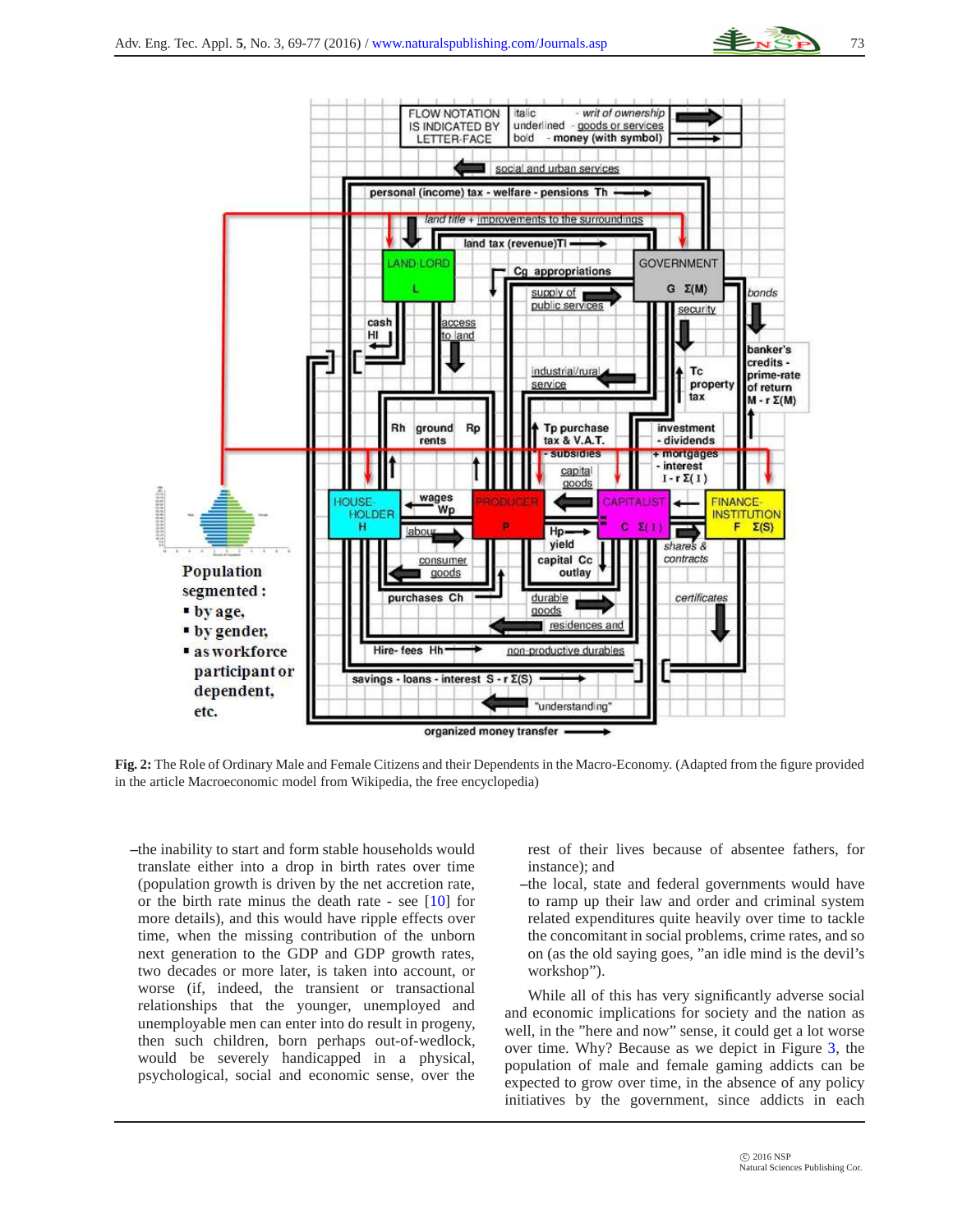![](_page_4_Figure_1.jpeg)

**Fig. 2:** The Role of Ordinary Male and Female Citizens and their Dependents in the Macro-Economy. (Adapted from the figure provided in the article Macroeconomic model from Wikipedia, the free encyclopedia)

organized money transfer

<span id="page-4-0"></span>"understanding"

savings - loans - interest S - r Σ(S)

**–**the inability to start and form stable households would translate either into a drop in birth rates over time (population growth is driven by the net accretion rate, or the birth rate minus the death rate - see  $[10]$  for more details), and this would have ripple effects over time, when the missing contribution of the unborn next generation to the GDP and GDP growth rates, two decades or more later, is taken into account, or worse (if, indeed, the transient or transactional relationships that the younger, unemployed and unemployable men can enter into do result in progeny, then such children, born perhaps out-of-wedlock, would be severely handicapped in a physical, psychological, social and economic sense, over the

participant or

dependent,

etc.

rest of their lives because of absentee fathers, for instance); and

**–**the local, state and federal governments would have to ramp up their law and order and criminal system related expenditures quite heavily over time to tackle the concomitant in social problems, crime rates, and so on (as the old saying goes, "an idle mind is the devil's workshop").

While all of this has very significantly adverse social and economic implications for society and the nation as well, in the "here and now" sense, it could get a lot worse over time. Why? Because as we depict in Figure [3,](#page-5-0) the population of male and female gaming addicts can be expected to grow over time, in the absence of any policy initiatives by the government, since addicts in each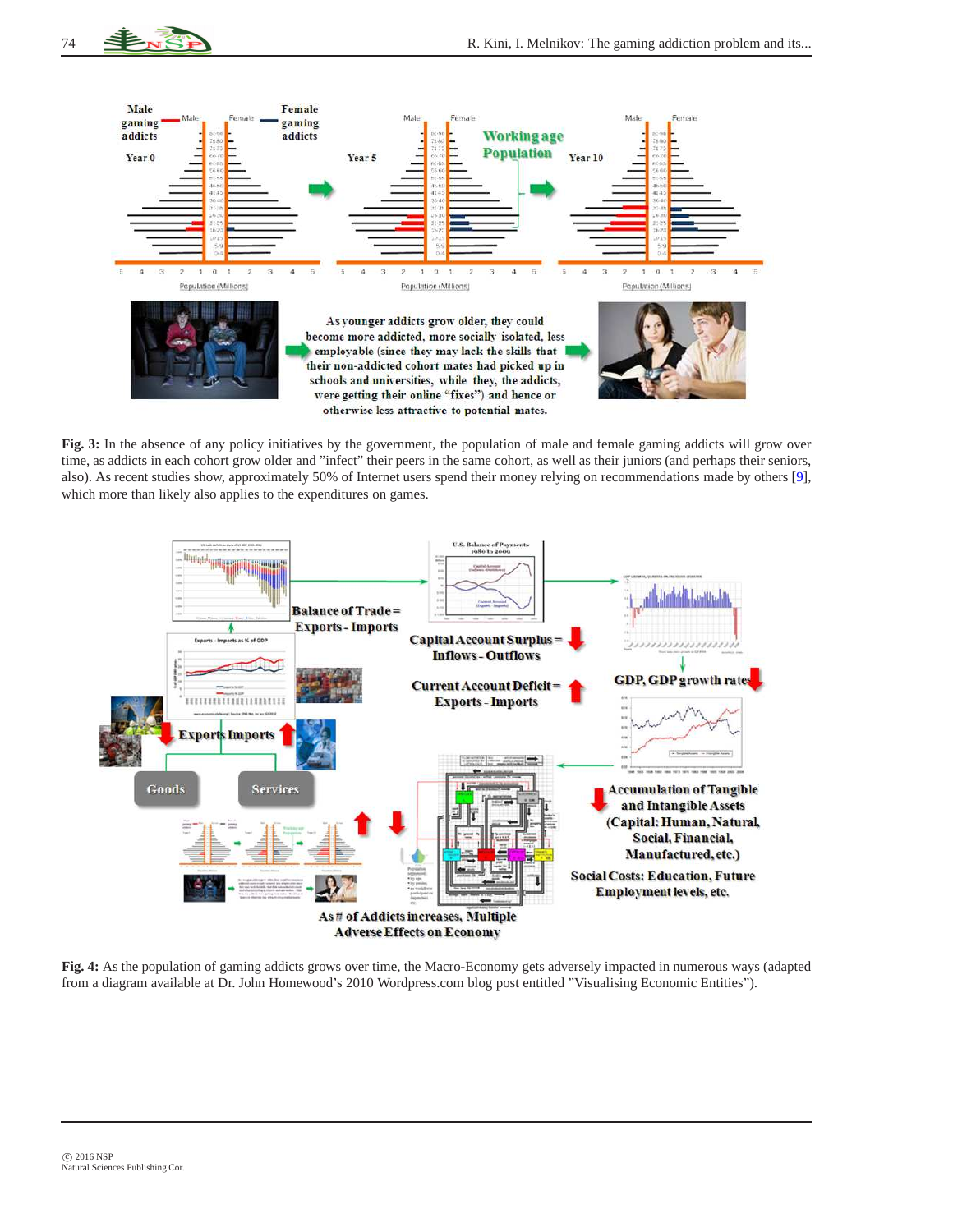![](_page_5_Picture_0.jpeg)

![](_page_5_Figure_2.jpeg)

**Fig. 3:** In the absence of any policy initiatives by the government, the population of male and female gaming addicts will grow over time, as addicts in each cohort grow older and "infect" their peers in the same cohort, as well as their juniors (and perhaps their seniors, also). As recent studies show, approximately 50% of Internet users spend their money relying on recommendations made by others [\[9\]](#page-8-9), which more than likely also applies to the expenditures on games.

<span id="page-5-0"></span>![](_page_5_Figure_4.jpeg)

<span id="page-5-1"></span>**Fig. 4:** As the population of gaming addicts grows over time, the Macro-Economy gets adversely impacted in numerous ways (adapted from a diagram available at Dr. John Homewood's 2010 Wordpress.com blog post entitled "Visualising Economic Entities").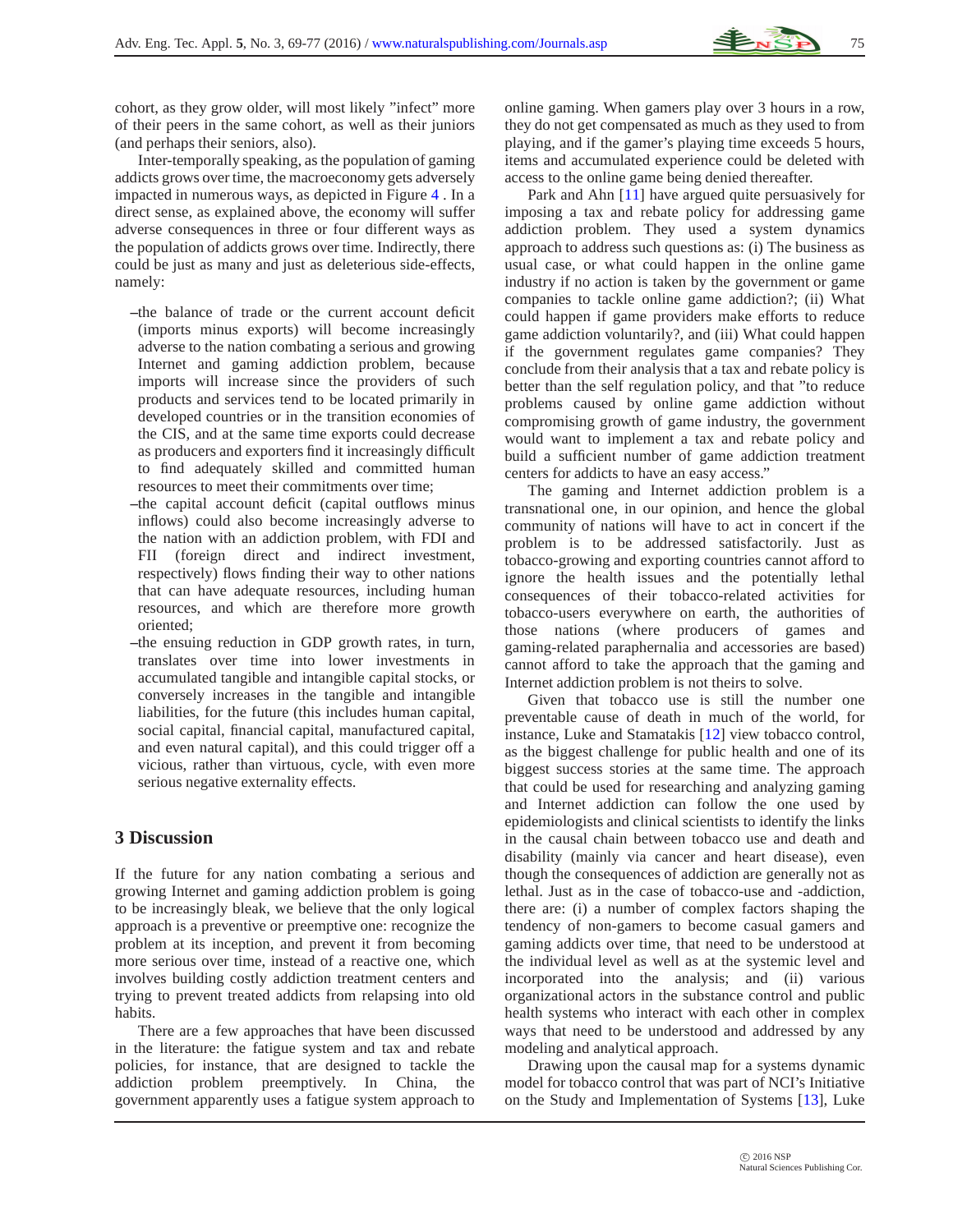cohort, as they grow older, will most likely "infect" more of their peers in the same cohort, as well as their juniors (and perhaps their seniors, also).

Inter-temporally speaking, as the population of gaming addicts grows over time, the macroeconomy gets adversely impacted in numerous ways, as depicted in Figure [4](#page-5-1) . In a direct sense, as explained above, the economy will suffer adverse consequences in three or four different ways as the population of addicts grows over time. Indirectly, there could be just as many and just as deleterious side-effects, namely:

- **–**the balance of trade or the current account deficit (imports minus exports) will become increasingly adverse to the nation combating a serious and growing Internet and gaming addiction problem, because imports will increase since the providers of such products and services tend to be located primarily in developed countries or in the transition economies of the CIS, and at the same time exports could decrease as producers and exporters find it increasingly difficult to find adequately skilled and committed human resources to meet their commitments over time;
- **–**the capital account deficit (capital outflows minus inflows) could also become increasingly adverse to the nation with an addiction problem, with FDI and FII (foreign direct and indirect investment, respectively) flows finding their way to other nations that can have adequate resources, including human resources, and which are therefore more growth oriented;
- **–**the ensuing reduction in GDP growth rates, in turn, translates over time into lower investments in accumulated tangible and intangible capital stocks, or conversely increases in the tangible and intangible liabilities, for the future (this includes human capital, social capital, financial capital, manufactured capital, and even natural capital), and this could trigger off a vicious, rather than virtuous, cycle, with even more serious negative externality effects.

#### **3 Discussion**

If the future for any nation combating a serious and growing Internet and gaming addiction problem is going to be increasingly bleak, we believe that the only logical approach is a preventive or preemptive one: recognize the problem at its inception, and prevent it from becoming more serious over time, instead of a reactive one, which involves building costly addiction treatment centers and trying to prevent treated addicts from relapsing into old habits.

There are a few approaches that have been discussed in the literature: the fatigue system and tax and rebate policies, for instance, that are designed to tackle the addiction problem preemptively. In China, the government apparently uses a fatigue system approach to online gaming. When gamers play over 3 hours in a row, they do not get compensated as much as they used to from playing, and if the gamer's playing time exceeds 5 hours, items and accumulated experience could be deleted with access to the online game being denied thereafter.

Park and Ahn [\[11\]](#page-8-10) have argued quite persuasively for imposing a tax and rebate policy for addressing game addiction problem. They used a system dynamics approach to address such questions as: (i) The business as usual case, or what could happen in the online game industry if no action is taken by the government or game companies to tackle online game addiction?; (ii) What could happen if game providers make efforts to reduce game addiction voluntarily?, and (iii) What could happen if the government regulates game companies? They conclude from their analysis that a tax and rebate policy is better than the self regulation policy, and that "to reduce problems caused by online game addiction without compromising growth of game industry, the government would want to implement a tax and rebate policy and build a sufficient number of game addiction treatment centers for addicts to have an easy access."

The gaming and Internet addiction problem is a transnational one, in our opinion, and hence the global community of nations will have to act in concert if the problem is to be addressed satisfactorily. Just as tobacco-growing and exporting countries cannot afford to ignore the health issues and the potentially lethal consequences of their tobacco-related activities for tobacco-users everywhere on earth, the authorities of those nations (where producers of games and gaming-related paraphernalia and accessories are based) cannot afford to take the approach that the gaming and Internet addiction problem is not theirs to solve.

Given that tobacco use is still the number one preventable cause of death in much of the world, for instance, Luke and Stamatakis [\[12\]](#page-8-11) view tobacco control, as the biggest challenge for public health and one of its biggest success stories at the same time. The approach that could be used for researching and analyzing gaming and Internet addiction can follow the one used by epidemiologists and clinical scientists to identify the links in the causal chain between tobacco use and death and disability (mainly via cancer and heart disease), even though the consequences of addiction are generally not as lethal. Just as in the case of tobacco-use and -addiction, there are: (i) a number of complex factors shaping the tendency of non-gamers to become casual gamers and gaming addicts over time, that need to be understood at the individual level as well as at the systemic level and incorporated into the analysis; and (ii) various organizational actors in the substance control and public health systems who interact with each other in complex ways that need to be understood and addressed by any modeling and analytical approach.

Drawing upon the causal map for a systems dynamic model for tobacco control that was part of NCI's Initiative on the Study and Implementation of Systems [\[13\]](#page-8-12), Luke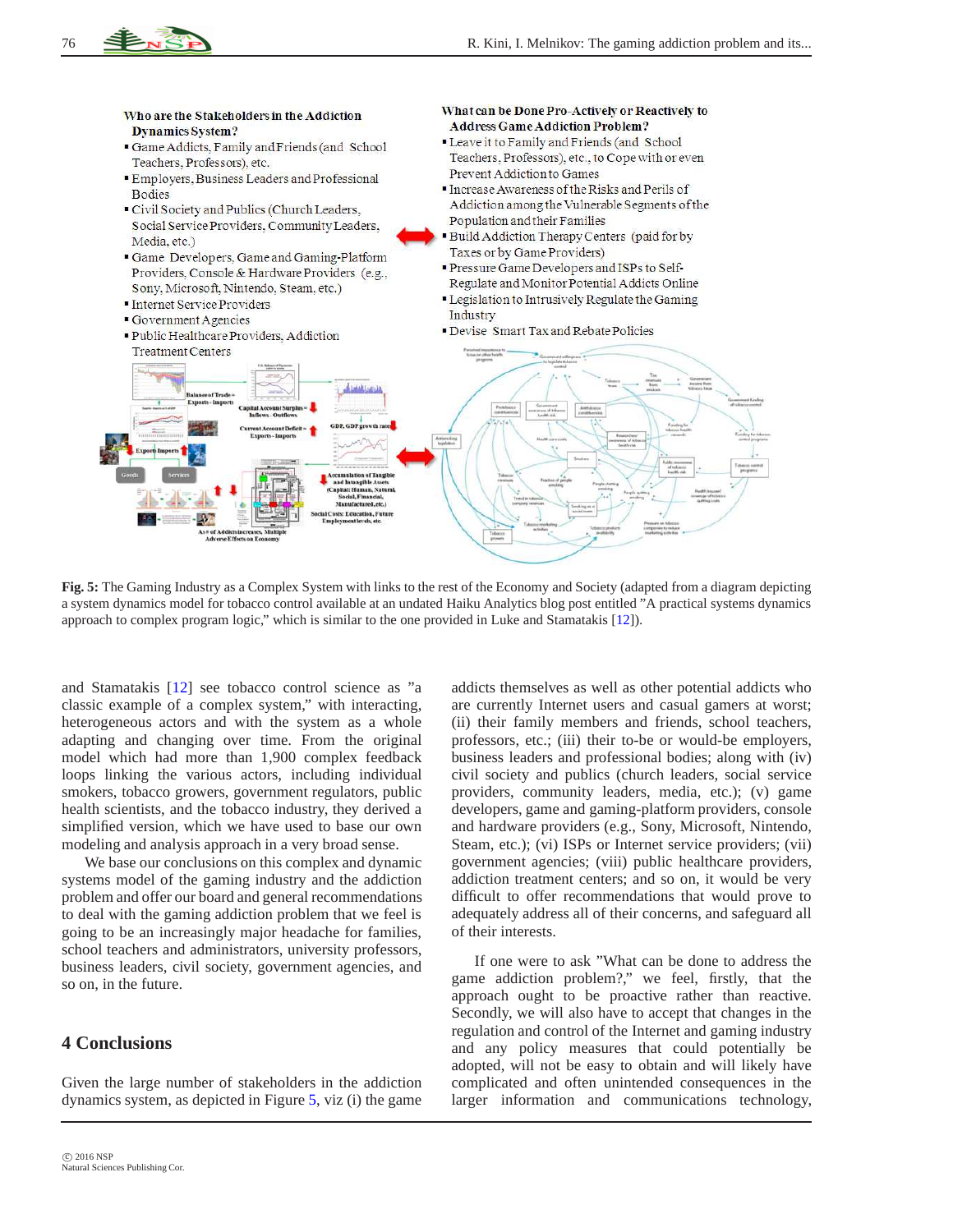![](_page_7_Figure_1.jpeg)

**Fig. 5:** The Gaming Industry as a Complex System with links to the rest of the Economy and Society (adapted from a diagram depicting a system dynamics model for tobacco control available at an undated Haiku Analytics blog post entitled "A practical systems dynamics approach to complex program logic," which is similar to the one provided in Luke and Stamatakis [\[12\]](#page-8-11)).

and Stamatakis [\[12\]](#page-8-11) see tobacco control science as "a classic example of a complex system," with interacting, heterogeneous actors and with the system as a whole adapting and changing over time. From the original model which had more than 1,900 complex feedback loops linking the various actors, including individual smokers, tobacco growers, government regulators, public health scientists, and the tobacco industry, they derived a simplified version, which we have used to base our own modeling and analysis approach in a very broad sense.

We base our conclusions on this complex and dynamic systems model of the gaming industry and the addiction problem and offer our board and general recommendations to deal with the gaming addiction problem that we feel is going to be an increasingly major headache for families, school teachers and administrators, university professors, business leaders, civil society, government agencies, and so on, in the future.

## **4 Conclusions**

Given the large number of stakeholders in the addiction dynamics system, as depicted in Figure [5,](#page-7-0) viz (i) the game <span id="page-7-0"></span>addicts themselves as well as other potential addicts who are currently Internet users and casual gamers at worst; (ii) their family members and friends, school teachers, professors, etc.; (iii) their to-be or would-be employers, business leaders and professional bodies; along with (iv) civil society and publics (church leaders, social service providers, community leaders, media, etc.); (v) game developers, game and gaming-platform providers, console and hardware providers (e.g., Sony, Microsoft, Nintendo, Steam, etc.); (vi) ISPs or Internet service providers; (vii) government agencies; (viii) public healthcare providers, addiction treatment centers; and so on, it would be very difficult to offer recommendations that would prove to adequately address all of their concerns, and safeguard all of their interests.

If one were to ask "What can be done to address the game addiction problem?," we feel, firstly, that the approach ought to be proactive rather than reactive. Secondly, we will also have to accept that changes in the regulation and control of the Internet and gaming industry and any policy measures that could potentially be adopted, will not be easy to obtain and will likely have complicated and often unintended consequences in the larger information and communications technology,